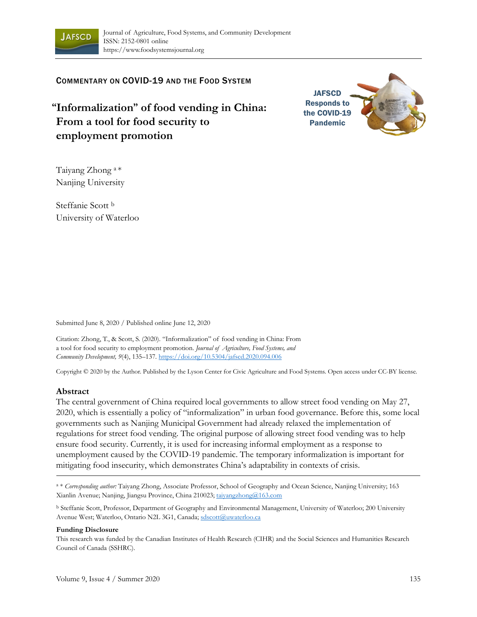

COMMENTARY ON COVID-19 AND THE FOOD SYSTEM

**"Informalization" of food vending in China: From a tool for food security to employment promotion**



Taiyang Zhong a \* Nanjing University

Steffanie Scott b University of Waterloo

Submitted June 8, 2020 / Published online June 12, 2020

Citation: Zhong, T., & Scott, S. (2020). "Informalization" of food vending in China: From a tool for food security to employment promotion. *Journal of Agriculture, Food Systems, and Community Development, 9*(4), 135–137. https://doi.org/10.5304/jafscd.2020.094.006

Copyright © 2020 by the Author. Published by the Lyson Center for Civic Agriculture and Food Systems. Open access under CC-BY license.

## **Abstract**

The central government of China required local governments to allow street food vending on May 27, 2020, which is essentially a policy of "informalization" in urban food governance. Before this, some local governments such as Nanjing Municipal Government had already relaxed the implementation of regulations for street food vending. The original purpose of allowing street food vending was to help ensure food security. Currently, it is used for increasing informal employment as a response to unemployment caused by the COVID-19 pandemic. The temporary informalization is important for mitigating food insecurity, which demonstrates China's adaptability in contexts of crisis.

a \* *Corresponding author:* Taiyang Zhong, Associate Professor, School of Geography and Ocean Science, Nanjing University; 163 Xianlin Avenue; Nanjing, Jiangsu Province, China 210023; taiyangzhong@163.com

b Steffanie Scott, Professor, Department of Geography and Environmental Management, University of Waterloo; 200 University Avenue West; Waterloo, Ontario N2L 3G1, Canada; sdscott@uwaterloo.ca

## **Funding Disclosure**

This research was funded by the Canadian Institutes of Health Research (CIHR) and the Social Sciences and Humanities Research Council of Canada (SSHRC).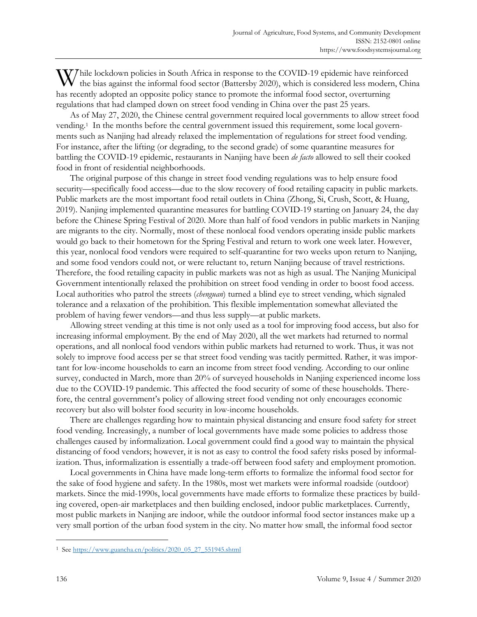hile lockdown policies in South Africa in response to the COVID-19 epidemic have reinforced While lockdown policies in South Africa in response to the COVID-19 epidemic have reinforced the bias against the informal food sector (Battersby 2020), which is considered less modern, China has recently adopted an opposite policy stance to promote the informal food sector, overturning regulations that had clamped down on street food vending in China over the past 25 years.

 As of May 27, 2020, the Chinese central government required local governments to allow street food vending.1 In the months before the central government issued this requirement, some local governments such as Nanjing had already relaxed the implementation of regulations for street food vending. For instance, after the lifting (or degrading, to the second grade) of some quarantine measures for battling the COVID-19 epidemic, restaurants in Nanjing have been *de facto* allowed to sell their cooked food in front of residential neighborhoods.

 The original purpose of this change in street food vending regulations was to help ensure food security—specifically food access—due to the slow recovery of food retailing capacity in public markets. Public markets are the most important food retail outlets in China (Zhong, Si, Crush, Scott, & Huang, 2019). Nanjing implemented quarantine measures for battling COVID-19 starting on January 24, the day before the Chinese Spring Festival of 2020. More than half of food vendors in public markets in Nanjing are migrants to the city. Normally, most of these nonlocal food vendors operating inside public markets would go back to their hometown for the Spring Festival and return to work one week later. However, this year, nonlocal food vendors were required to self-quarantine for two weeks upon return to Nanjing, and some food vendors could not, or were reluctant to, return Nanjing because of travel restrictions. Therefore, the food retailing capacity in public markets was not as high as usual. The Nanjing Municipal Government intentionally relaxed the prohibition on street food vending in order to boost food access. Local authorities who patrol the streets (*chenguan*) turned a blind eye to street vending, which signaled tolerance and a relaxation of the prohibition. This flexible implementation somewhat alleviated the problem of having fewer vendors—and thus less supply—at public markets.

 Allowing street vending at this time is not only used as a tool for improving food access, but also for increasing informal employment. By the end of May 2020, all the wet markets had returned to normal operations, and all nonlocal food vendors within public markets had returned to work. Thus, it was not solely to improve food access per se that street food vending was tacitly permitted. Rather, it was important for low-income households to earn an income from street food vending. According to our online survey, conducted in March, more than 20% of surveyed households in Nanjing experienced income loss due to the COVID-19 pandemic. This affected the food security of some of these households. Therefore, the central government's policy of allowing street food vending not only encourages economic recovery but also will bolster food security in low-income households.

 There are challenges regarding how to maintain physical distancing and ensure food safety for street food vending. Increasingly, a number of local governments have made some policies to address those challenges caused by informalization. Local government could find a good way to maintain the physical distancing of food vendors; however, it is not as easy to control the food safety risks posed by informalization. Thus, informalization is essentially a trade-off between food safety and employment promotion.

 Local governments in China have made long-term efforts to formalize the informal food sector for the sake of food hygiene and safety. In the 1980s, most wet markets were informal roadside (outdoor) markets. Since the mid-1990s, local governments have made efforts to formalize these practices by building covered, open-air marketplaces and then building enclosed, indoor public marketplaces. Currently, most public markets in Nanjing are indoor, while the outdoor informal food sector instances make up a very small portion of the urban food system in the city. No matter how small, the informal food sector

<sup>1</sup> See https://www.guancha.cn/politics/2020\_05\_27\_551945.shtml